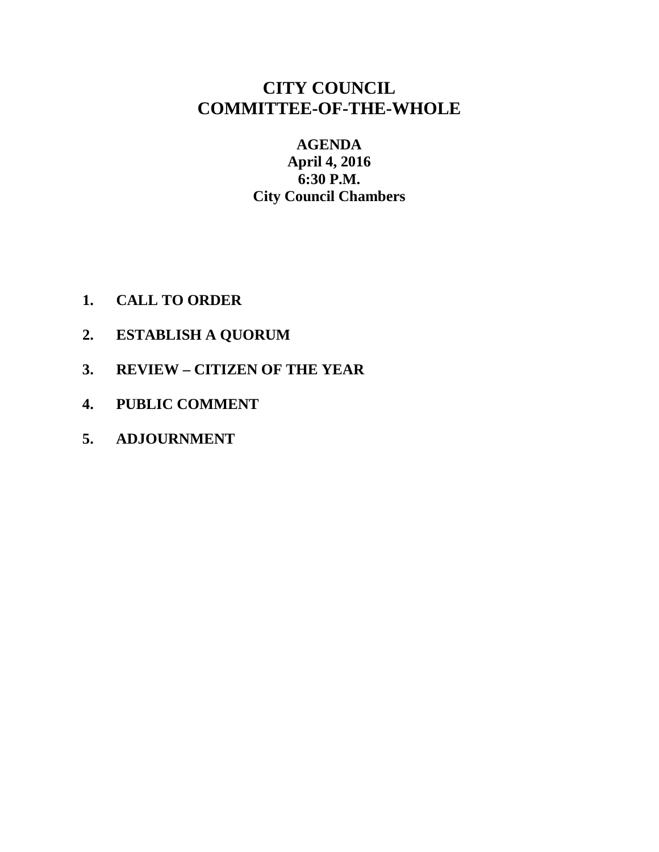### **CITY COUNCIL COMMITTEE-OF-THE-WHOLE**

### **AGENDA April 4, 2016 6:30 P.M. City Council Chambers**

- **1. CALL TO ORDER**
- **2. ESTABLISH A QUORUM**
- **3. REVIEW – CITIZEN OF THE YEAR**
- **4. PUBLIC COMMENT**
- **5. ADJOURNMENT**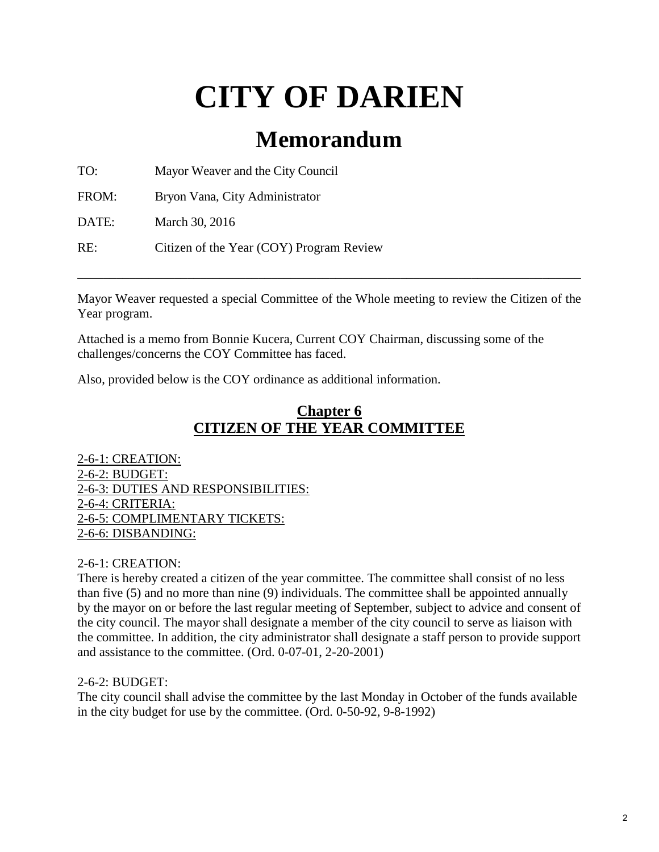# **CITY OF DARIEN**

## **Memorandum**

TO: Mayor Weaver and the City Council

FROM: Bryon Vana, City Administrator

DATE: March 30, 2016

RE: Citizen of the Year (COY) Program Review

Mayor Weaver requested a special Committee of the Whole meeting to review the Citizen of the Year program.

\_\_\_\_\_\_\_\_\_\_\_\_\_\_\_\_\_\_\_\_\_\_\_\_\_\_\_\_\_\_\_\_\_\_\_\_\_\_\_\_\_\_\_\_\_\_\_\_\_\_\_\_\_\_\_\_\_\_\_\_\_\_\_\_\_\_\_\_\_\_\_\_\_\_\_\_\_\_

Attached is a memo from Bonnie Kucera, Current COY Chairman, discussing some of the challenges/concerns the COY Committee has faced.

Also, provided below is the COY ordinance as additional information.

### **Chapter 6 CITIZEN OF THE YEAR COMMITTEE**

2-6-1: CREATION: 2-6-2: BUDGET: 2-6-3: DUTIES AND RESPONSIBILITIES: 2-6-4: CRITERIA: 2-6-5: COMPLIMENTARY TICKETS: 2-6-6: DISBANDING:

2-6-1: CREATION:

There is hereby created a citizen of the year committee. The committee shall consist of no less than five (5) and no more than nine (9) individuals. The committee shall be appointed annually by the mayor on or before the last regular meeting of September, subject to advice and consent of the city council. The mayor shall designate a member of the city council to serve as liaison with the committee. In addition, the city administrator shall designate a staff person to provide support and assistance to the committee. (Ord. 0-07-01, 2-20-2001)

2-6-2: BUDGET:

The city council shall advise the committee by the last Monday in October of the funds available in the city budget for use by the committee. (Ord. 0-50-92, 9-8-1992)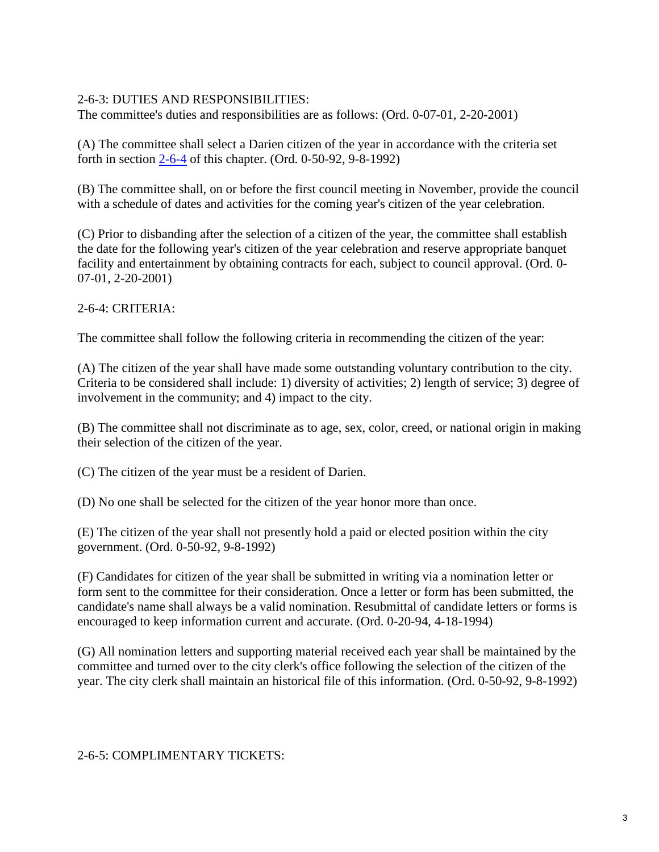#### 2-6-3: DUTIES AND RESPONSIBILITIES:

The committee's duties and responsibilities are as follows: (Ord. 0-07-01, 2-20-2001)

(A) The committee shall select a Darien citizen of the year in accordance with the criteria set forth in section [2-6-4](http://www.sterlingcodifiers.com/codebook/getBookData.php?ft=3&find=2-6-4) of this chapter. (Ord. 0-50-92, 9-8-1992)

(B) The committee shall, on or before the first council meeting in November, provide the council with a schedule of dates and activities for the coming year's citizen of the year celebration.

(C) Prior to disbanding after the selection of a citizen of the year, the committee shall establish the date for the following year's citizen of the year celebration and reserve appropriate banquet facility and entertainment by obtaining contracts for each, subject to council approval. (Ord. 0- 07-01, 2-20-2001)

### 2-6-4: CRITERIA:

The committee shall follow the following criteria in recommending the citizen of the year:

(A) The citizen of the year shall have made some outstanding voluntary contribution to the city. Criteria to be considered shall include: 1) diversity of activities; 2) length of service; 3) degree of involvement in the community; and 4) impact to the city.

(B) The committee shall not discriminate as to age, sex, color, creed, or national origin in making their selection of the citizen of the year.

(C) The citizen of the year must be a resident of Darien.

(D) No one shall be selected for the citizen of the year honor more than once.

(E) The citizen of the year shall not presently hold a paid or elected position within the city government. (Ord. 0-50-92, 9-8-1992)

(F) Candidates for citizen of the year shall be submitted in writing via a nomination letter or form sent to the committee for their consideration. Once a letter or form has been submitted, the candidate's name shall always be a valid nomination. Resubmittal of candidate letters or forms is encouraged to keep information current and accurate. (Ord. 0-20-94, 4-18-1994)

(G) All nomination letters and supporting material received each year shall be maintained by the committee and turned over to the city clerk's office following the selection of the citizen of the year. The city clerk shall maintain an historical file of this information. (Ord. 0-50-92, 9-8-1992)

2-6-5: COMPLIMENTARY TICKETS: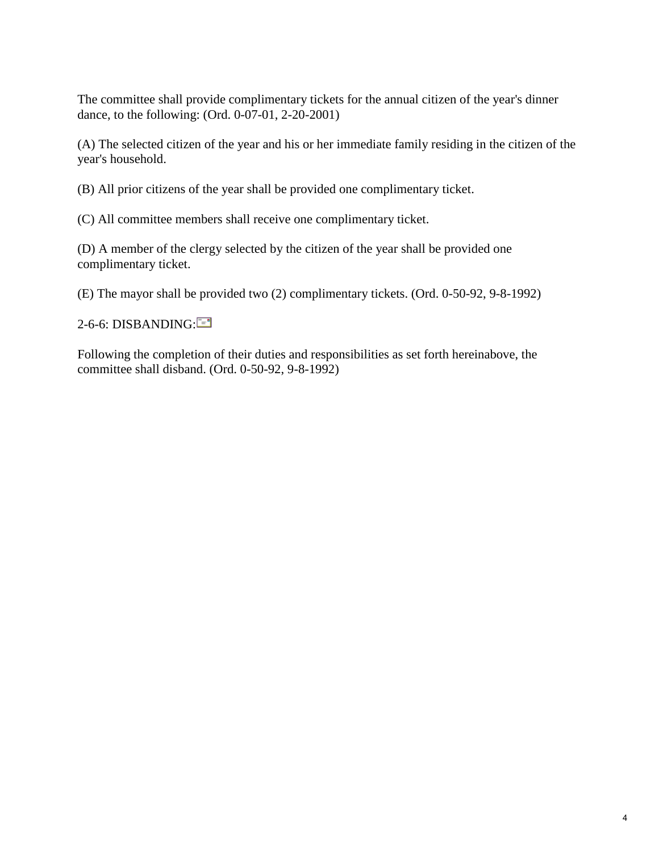The committee shall provide complimentary tickets for the annual citizen of the year's dinner dance, to the following: (Ord. 0-07-01, 2-20-2001)

(A) The selected citizen of the year and his or her immediate family residing in the citizen of the year's household.

(B) All prior citizens of the year shall be provided one complimentary ticket.

(C) All committee members shall receive one complimentary ticket.

(D) A member of the clergy selected by the citizen of the year shall be provided one complimentary ticket.

(E) The mayor shall be provided two (2) complimentary tickets. (Ord. 0-50-92, 9-8-1992)

2-6-6[:](mailto:?subject=Darien%20Code%20Regulations&body=Below%20is%20a%20link%20to%20the%20City%20code%20which%20contains%20the%20information%20you%20requested.%0D%0Ahttp://www.sterlingcodifiers.com/codebook/index.php?book_id%3D302%26chapter_id%3D6209#s48624) DISBANDING:

Following the completion of their duties and responsibilities as set forth hereinabove, the committee shall disband. (Ord. 0-50-92, 9-8-1992)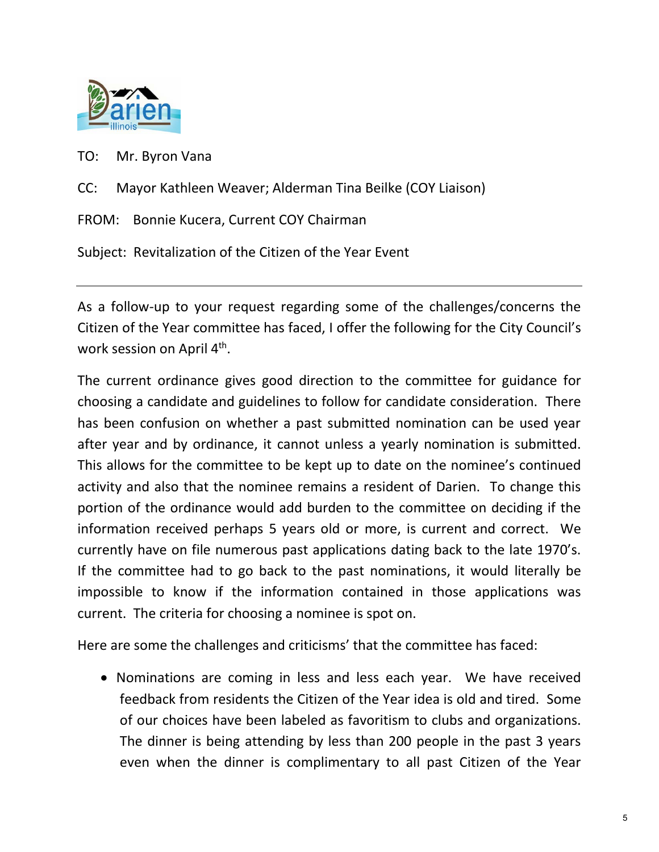

TO: Mr. Byron Vana

CC: Mayor Kathleen Weaver; Alderman Tina Beilke (COY Liaison)

FROM: Bonnie Kucera, Current COY Chairman

Subject: Revitalization of the Citizen of the Year Event

As a follow-up to your request regarding some of the challenges/concerns the Citizen of the Year committee has faced, I offer the following for the City Council's work session on April 4<sup>th</sup>.

The current ordinance gives good direction to the committee for guidance for choosing a candidate and guidelines to follow for candidate consideration. There has been confusion on whether a past submitted nomination can be used year after year and by ordinance, it cannot unless a yearly nomination is submitted. This allows for the committee to be kept up to date on the nominee's continued activity and also that the nominee remains a resident of Darien. To change this portion of the ordinance would add burden to the committee on deciding if the information received perhaps 5 years old or more, is current and correct. We currently have on file numerous past applications dating back to the late 1970's. If the committee had to go back to the past nominations, it would literally be impossible to know if the information contained in those applications was current. The criteria for choosing a nominee is spot on.

Here are some the challenges and criticisms' that the committee has faced:

• Nominations are coming in less and less each year. We have received feedback from residents the Citizen of the Year idea is old and tired. Some of our choices have been labeled as favoritism to clubs and organizations. The dinner is being attending by less than 200 people in the past 3 years even when the dinner is complimentary to all past Citizen of the Year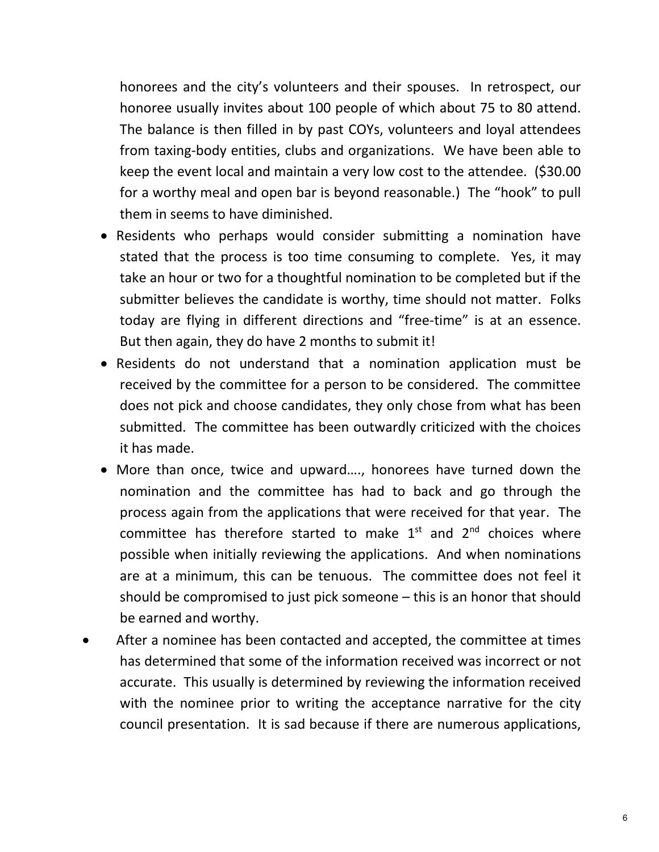honorees and the city's volunteers and their spouses. In retrospect, our honoree usually invites about 100 people of which about 75 to 80 attend. The balance is then filled in by past COYs, volunteers and loyal attendees from taxing-body entities, clubs and organizations. We have been able to keep the event local and maintain a very low cost to the attendee. (\$30.00 for a worthy meal and open bar is beyond reasonable.) The "hook" to pull them in seems to have diminished.

- Residents who perhaps would consider submitting a nomination have stated that the process is too time consuming to complete. Yes, it may take an hour or two for a thoughtful nomination to be completed but if the submitter believes the candidate is worthy, time should not matter. Folks today are flying in different directions and "free-time" is at an essence. But then again, they do have 2 months to submit it!
- Residents do not understand that a nomination application must be received by the committee for a person to be considered. The committee does not pick and choose candidates, they only chose from what has been submitted. The committee has been outwardly criticized with the choices it has made.
- More than once, twice and upward…., honorees have turned down the nomination and the committee has had to back and go through the process again from the applications that were received for that year. The committee has therefore started to make  $1<sup>st</sup>$  and  $2<sup>nd</sup>$  choices where possible when initially reviewing the applications. And when nominations are at a minimum, this can be tenuous. The committee does not feel it should be compromised to just pick someone – this is an honor that should be earned and worthy.
- After a nominee has been contacted and accepted, the committee at times has determined that some of the information received was incorrect or not accurate. This usually is determined by reviewing the information received with the nominee prior to writing the acceptance narrative for the city council presentation. It is sad because if there are numerous applications,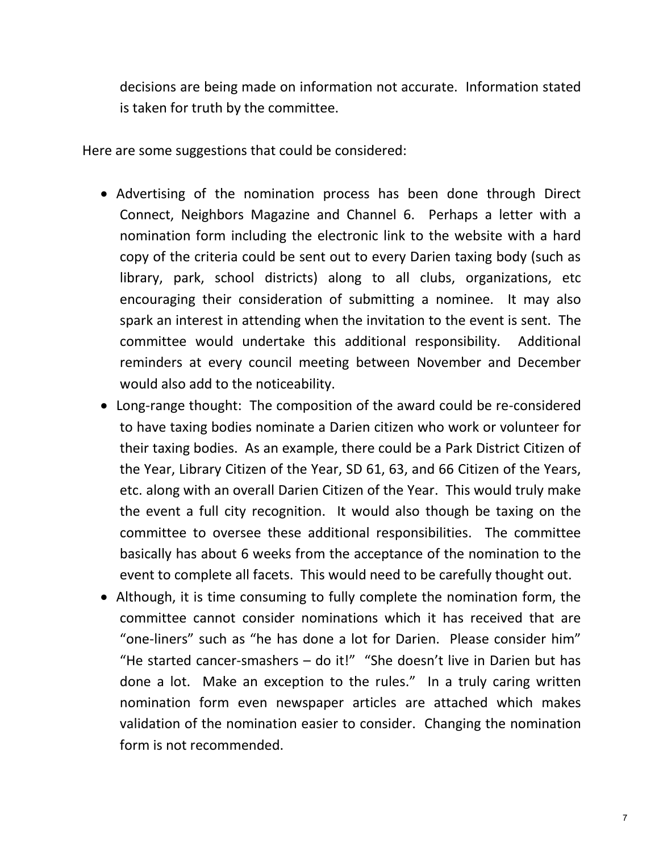decisions are being made on information not accurate. Information stated is taken for truth by the committee.

Here are some suggestions that could be considered:

- Advertising of the nomination process has been done through Direct Connect, Neighbors Magazine and Channel 6. Perhaps a letter with a nomination form including the electronic link to the website with a hard copy of the criteria could be sent out to every Darien taxing body (such as library, park, school districts) along to all clubs, organizations, etc encouraging their consideration of submitting a nominee. It may also spark an interest in attending when the invitation to the event is sent. The committee would undertake this additional responsibility. Additional reminders at every council meeting between November and December would also add to the noticeability.
- Long-range thought: The composition of the award could be re-considered to have taxing bodies nominate a Darien citizen who work or volunteer for their taxing bodies. As an example, there could be a Park District Citizen of the Year, Library Citizen of the Year, SD 61, 63, and 66 Citizen of the Years, etc. along with an overall Darien Citizen of the Year. This would truly make the event a full city recognition. It would also though be taxing on the committee to oversee these additional responsibilities. The committee basically has about 6 weeks from the acceptance of the nomination to the event to complete all facets. This would need to be carefully thought out.
- Although, it is time consuming to fully complete the nomination form, the committee cannot consider nominations which it has received that are "one-liners" such as "he has done a lot for Darien. Please consider him" "He started cancer-smashers  $-$  do it!" "She doesn't live in Darien but has done a lot. Make an exception to the rules." In a truly caring written nomination form even newspaper articles are attached which makes validation of the nomination easier to consider. Changing the nomination form is not recommended.